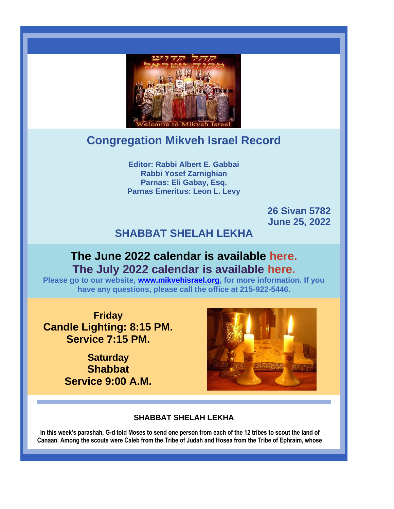

# **Congregation Mikveh Israel Record**

**Editor: Rabbi Albert E. Gabbai Rabbi Yosef Zarnighian Parnas: Eli Gabay, Esq. Parnas Emeritus: Leon L. Levy** 

> **26 Sivan 5782 June 25, 2022**

## **SHABBAT SHELAH LEKHA**

## **The June 2022 calendar is available [here.](https://r20.rs6.net/tn.jsp?f=001eQIpWBH4y-DTUSCu2eX8Gu4r10WocBTjiVYEOcuGH2XWY-e1qdV1Ug1xmGgieyHmfnoS9PU2lZV86arFhPMFlV9NL08dnVL0h4z7zB9rTJs9JafvDbB6tQjsUJIf2foS4Quw8fm0E6FCFug-15bG9zSVhjXBo15g2PxZRA1y0gK08gNDJ8pns8gsRmSv3lrhxRiO8JuOCUDHyVcr6cwjRZwUa2IIUesJBBuIM5Vk7oE=&c=DVyPF3ErIG5hvImhn8AoDaYTjDcty_B4ZBY_5AZfw5300uzZ1346TA==&ch=78GajAxt3lL6QvfrOzgGbc2eAgVQx-csPGZLjDojGUWgaAOC5gWSmg==) The July 2022 calendar is available [here.](https://r20.rs6.net/tn.jsp?f=001eQIpWBH4y-DTUSCu2eX8Gu4r10WocBTjiVYEOcuGH2XWY-e1qdV1UjzylqAUSGWF924nxxM-eZ6Bycth7wY7s4vPCKi8v5iz8RIPz1ppu_V3_Z2HxDq9fOQ3Yr_x-cGyPF4JFijf-v8f0aT7QOur9IJ_LmZySacN_gGD9MZru_Pd_eyhhz4gygb5miUxrO9Jeu5GYdv12wEW5qmE76gTstBRSsko83X_6gGSOHNB_3I=&c=DVyPF3ErIG5hvImhn8AoDaYTjDcty_B4ZBY_5AZfw5300uzZ1346TA==&ch=78GajAxt3lL6QvfrOzgGbc2eAgVQx-csPGZLjDojGUWgaAOC5gWSmg==)**

**Please go to our website, [www.mikvehisrael.org,](http://www.mikvehisrael.org/) for more information. If you have any questions, please call the office at 215-922-5446.**

**Friday Candle Lighting: 8:15 PM. Service 7:15 PM.**

> **Saturday Shabbat Service 9:00 A.M.**



#### **SHABBAT SHELAH LEKHA**

**In this week's parashah, G-d told Moses to send one person from each of the 12 tribes to scout the land of Canaan. Among the scouts were Caleb from the Tribe of Judah and Hosea from the Tribe of Ephraim, whose**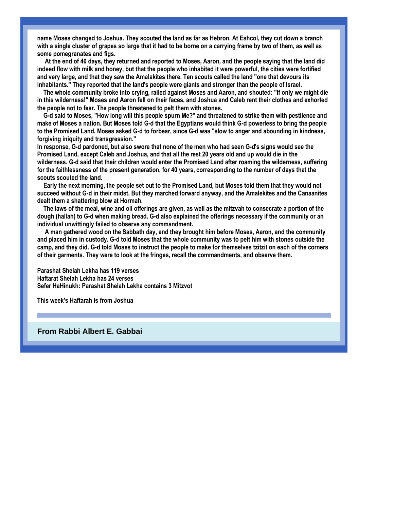**name Moses changed to Joshua. They scouted the land as far as Hebron. At Eshcol, they cut down a branch with a single cluster of grapes so large that it had to be borne on a carrying frame by two of them, as well as some pomegranates and figs.**

 **At the end of 40 days, they returned and reported to Moses, Aaron, and the people saying that the land did indeed flow with milk and honey, but that the people who inhabited it were powerful, the cities were fortified and very large, and that they saw the Amalakites there. Ten scouts called the land "one that devours its inhabitants." They reported that the land's people were giants and stronger than the people of Israel.**

 **The whole community broke into crying, railed against Moses and Aaron, and shouted: "If only we might die in this wilderness!" Moses and Aaron fell on their faces, and Joshua and Caleb rent their clothes and exhorted the people not to fear. The people threatened to pelt them with stones.**

 **G-d said to Moses, "How long will this people spurn Me?" and threatened to strike them with pestilence and make of Moses a nation. But Moses told G-d that the Egyptians would think G-d powerless to bring the people to the Promised Land. Moses asked G-d to forbear, since G-d was "slow to anger and abounding in kindness, forgiving iniquity and transgression."**

**In response, G-d pardoned, but also swore that none of the men who had seen G-d's signs would see the Promised Land, except Caleb and Joshua, and that all the rest 20 years old and up would die in the wilderness. G-d said that their children would enter the Promised Land after roaming the wilderness, suffering for the faithlessness of the present generation, for 40 years, corresponding to the number of days that the scouts scouted the land.**

 **Early the next morning, the people set out to the Promised Land, but Moses told them that they would not succeed without G-d in their midst. But they marched forward anyway, and the Amalekites and the Canaanites dealt them a shattering blow at Hormah.** 

 **The laws of the meal, wine and oil offerings are given, as well as the mitzvah to consecrate a portion of the dough (hallah) to G-d when making bread. G-d also explained the offerings necessary if the community or an individual unwittingly failed to observe any commandment.**

 **A man gathered wood on the Sabbath day, and they brought him before Moses, Aaron, and the community and placed him in custody. G-d told Moses that the whole community was to pelt him with stones outside the camp, and they did. G-d told Moses to instruct the people to make for themselves tzitzit on each of the corners of their garments. They were to look at the fringes, recall the commandments, and observe them.**

**Parashat Shelah Lekha has 119 verses Haftarat Shelah Lekha has 24 verses Sefer HaHinukh: Parashat Shelah Lekha contains 3 Mitzvot**

**This week's Haftarah is from Joshua** 

**From Rabbi Albert E. Gabbai**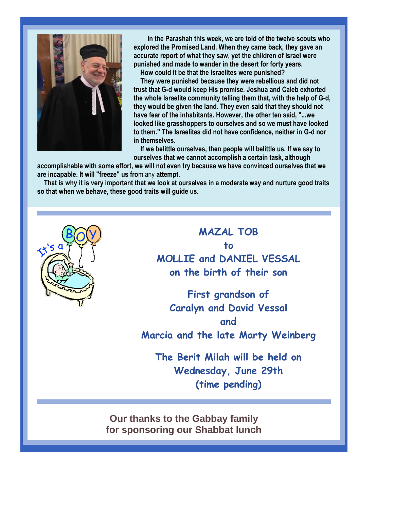

 **In the Parashah this week, we are told of the twelve scouts who explored the Promised Land. When they came back, they gave an accurate report of what they saw, yet the children of Israel were punished and made to wander in the desert for forty years.**

 **How could it be that the Israelites were punished?** 

 **They were punished because they were rebellious and did not trust that G-d would keep His promise. Joshua and Caleb exhorted the whole Israelite community telling them that, with the help of G-d, they would be given the land. They even said that they should not have fear of the inhabitants. However, the other ten said, "...we looked like grasshoppers to ourselves and so we must have looked to them." The Israelites did not have confidence, neither in G-d nor in themselves.**

 **If we belittle ourselves, then people will belittle us. If we say to ourselves that we cannot accomplish a certain task, although** 

**accomplishable with some effort, we will not even try because we have convinced ourselves that we are incapable. It will "freeze" us fro**m any **attempt.**

 **That is why it is very important that we look at ourselves in a moderate way and nurture good traits so that when we behave, these good traits will guide us.** 



**MAZAL TOB to MOLLIE and DANIEL VESSAL on the birth of their son**

**First grandson of Caralyn and David Vessal and Marcia and the late Marty Weinberg**

**The Berit Milah will be held on Wednesday, June 29th (time pending)**

**Our thanks to the Gabbay family for sponsoring our Shabbat lunch**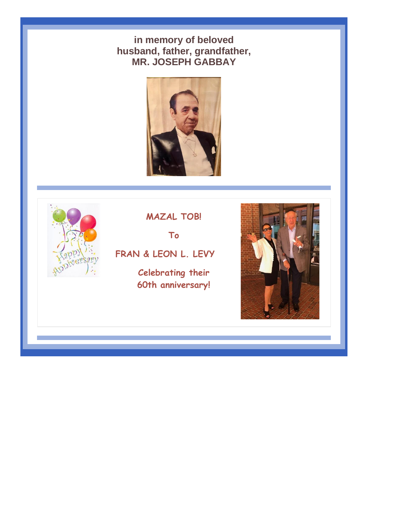## **in memory of beloved husband, father, grandfather, MR. JOSEPH GABBAY**





**MAZAL TOB!**

**To**

**FRAN & LEON L. LEVY**

**Celebrating their 60th anniversary!**

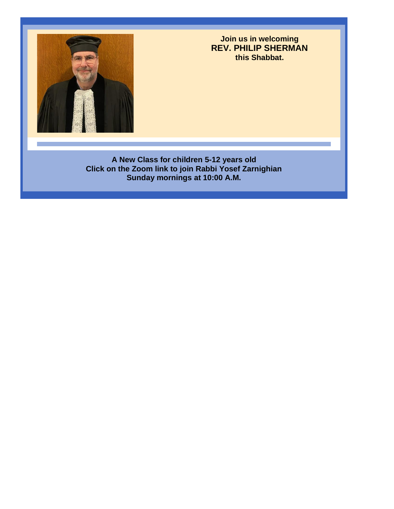

**Join us in welcoming REV. PHILIP SHERMAN this Shabbat.**

**A New Class for children 5-12 years old Click on the Zoom link to join Rabbi Yosef Zarnighian Sunday mornings at 10:00 A.M.**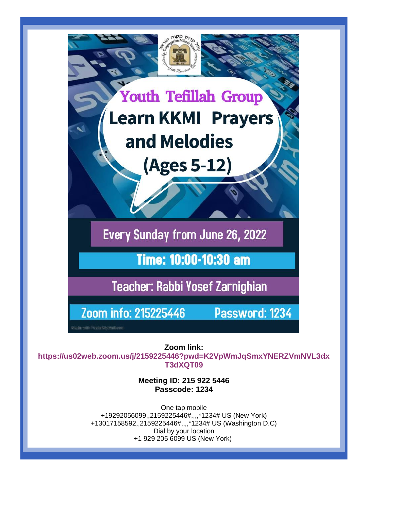

**Zoom link:**

**[https://us02web.zoom.us/j/2159225446?pwd=K2VpWmJqSmxYNERZVmNVL3dx](https://r20.rs6.net/tn.jsp?f=001cbRPtfS6ZZViMNOwaX88zUIxbWT2EzZ4eT9pIxtASNIxoPueccoBlsWRHjWlywvjXa6rvZL7azeNPLw0Qkv7nPBjm1JOCAjecM0K0MDv3BwExDIgDM4X-LxL9iieOxN9AWEsu_0LELx54449ttGeQZ2ABuIlN-90fkcJWzWR8_zMl9xNuT7Kzo1Z-mnWbiyA3LdM3iPXZAd7eaJGSChq7jbdb-LXAQcf&c=vGGauNXeiBfw_kJfQIgzIQXLu_XDdXrr69ue9s9iv6I-O5t5BghByg==&ch=N7jVyUBQZGRd_nJF6Kb1-r-6BeZZaVRCWF9VVxT-z5Un7jwZNvX2aQ==) [T3dXQT09](https://r20.rs6.net/tn.jsp?f=001cbRPtfS6ZZViMNOwaX88zUIxbWT2EzZ4eT9pIxtASNIxoPueccoBlsWRHjWlywvjXa6rvZL7azeNPLw0Qkv7nPBjm1JOCAjecM0K0MDv3BwExDIgDM4X-LxL9iieOxN9AWEsu_0LELx54449ttGeQZ2ABuIlN-90fkcJWzWR8_zMl9xNuT7Kzo1Z-mnWbiyA3LdM3iPXZAd7eaJGSChq7jbdb-LXAQcf&c=vGGauNXeiBfw_kJfQIgzIQXLu_XDdXrr69ue9s9iv6I-O5t5BghByg==&ch=N7jVyUBQZGRd_nJF6Kb1-r-6BeZZaVRCWF9VVxT-z5Un7jwZNvX2aQ==)**

> **Meeting ID: 215 922 5446 Passcode: [1234](https://r20.rs6.net/tn.jsp?f=001eQIpWBH4y-DTUSCu2eX8Gu4r10WocBTjiVYEOcuGH2XWY-e1qdV1Uur4m9al0mnUDFjLKe1Sy1GMNgt1mav0YkOtT5asTYb0PnBYlmdENyvmWBA4-inAvyPj9UR2e495GWhCTbkd9l6QvuFDrYE7WaHtbCC8EItis7YOP3mq6AWgZPyVEb7d2IDt11Oh05ICqfaTL2eFrQ21LTRvVIfEXptXj1gw1zeH&c=DVyPF3ErIG5hvImhn8AoDaYTjDcty_B4ZBY_5AZfw5300uzZ1346TA==&ch=78GajAxt3lL6QvfrOzgGbc2eAgVQx-csPGZLjDojGUWgaAOC5gWSmg==)**

One tap mobile +19292056099,,2159225446#,,,,\*1234# US (New York) +13017158592,,2159225446#,,,,\*1234# US (Washington D.C) Dial by your location +1 929 205 6099 US (New York)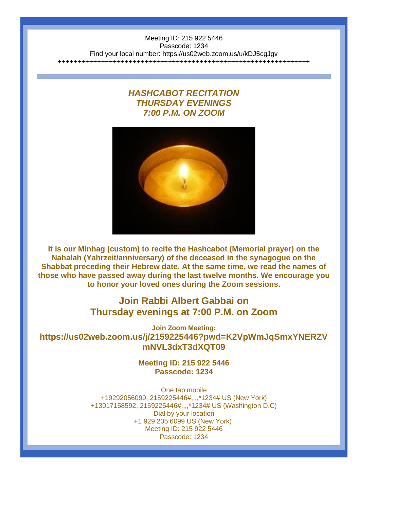Meeting ID: 215 922 5446 Passcode: 1234 Find your local number: [https://us02web.zoom.us/u/kDJ5cgJgv](https://r20.rs6.net/tn.jsp?f=001cbRPtfS6ZZViMNOwaX88zUIxbWT2EzZ4eT9pIxtASNIxoPueccoBlgrPQQUV0NBWihvgmpUMsc4qzAleRVTgzZypbwgZundPoSYV8t-7DnS951dQ8WdblYWrKfX3Yr88Tp9IxnVe3InN7Syinm5cEfImnSDG9EqA&c=vGGauNXeiBfw_kJfQIgzIQXLu_XDdXrr69ue9s9iv6I-O5t5BghByg==&ch=N7jVyUBQZGRd_nJF6Kb1-r-6BeZZaVRCWF9VVxT-z5Un7jwZNvX2aQ==) ++++++++++++++++++++++++++++++++++++++++++++++++++++++++++++++++

#### *HASHCABOT RECITATION THURSDAY EVENINGS 7:00 P.M. ON ZOOM*



**It is our Minhag (custom) to recite the Hashcabot (Memorial prayer) on the Nahalah (Yahrzeit/anniversary) of the deceased in the synagogue on the Shabbat preceding their Hebrew date. At the same time, we read the names of those who have passed away during the last twelve months. We encourage you to honor your loved ones during the Zoom sessions.**

#### **Join Rabbi Albert Gabbai on Thursday evenings at 7:00 P.M. on Zoom**

**Join Zoom Meeting: [https://us02web.zoom.us/j/2159225446?pwd=K2VpWmJqSmxYNERZV](https://r20.rs6.net/tn.jsp?f=001cbRPtfS6ZZViMNOwaX88zUIxbWT2EzZ4eT9pIxtASNIxoPueccoBlsWRHjWlywvjXa6rvZL7azeNPLw0Qkv7nPBjm1JOCAjecM0K0MDv3BwExDIgDM4X-LxL9iieOxN9AWEsu_0LELx54449ttGeQZ2ABuIlN-90fkcJWzWR8_zMl9xNuT7Kzo1Z-mnWbiyA3LdM3iPXZAd7eaJGSChq7jbdb-LXAQcf&c=vGGauNXeiBfw_kJfQIgzIQXLu_XDdXrr69ue9s9iv6I-O5t5BghByg==&ch=N7jVyUBQZGRd_nJF6Kb1-r-6BeZZaVRCWF9VVxT-z5Un7jwZNvX2aQ==) [mNVL3dxT3dXQT09](https://r20.rs6.net/tn.jsp?f=001cbRPtfS6ZZViMNOwaX88zUIxbWT2EzZ4eT9pIxtASNIxoPueccoBlsWRHjWlywvjXa6rvZL7azeNPLw0Qkv7nPBjm1JOCAjecM0K0MDv3BwExDIgDM4X-LxL9iieOxN9AWEsu_0LELx54449ttGeQZ2ABuIlN-90fkcJWzWR8_zMl9xNuT7Kzo1Z-mnWbiyA3LdM3iPXZAd7eaJGSChq7jbdb-LXAQcf&c=vGGauNXeiBfw_kJfQIgzIQXLu_XDdXrr69ue9s9iv6I-O5t5BghByg==&ch=N7jVyUBQZGRd_nJF6Kb1-r-6BeZZaVRCWF9VVxT-z5Un7jwZNvX2aQ==)**

> **Meeting ID: 215 922 5446 Passcode: [1234](https://r20.rs6.net/tn.jsp?f=001eQIpWBH4y-DTUSCu2eX8Gu4r10WocBTjiVYEOcuGH2XWY-e1qdV1Uur4m9al0mnUDFjLKe1Sy1GMNgt1mav0YkOtT5asTYb0PnBYlmdENyvmWBA4-inAvyPj9UR2e495GWhCTbkd9l6QvuFDrYE7WaHtbCC8EItis7YOP3mq6AWgZPyVEb7d2IDt11Oh05ICqfaTL2eFrQ21LTRvVIfEXptXj1gw1zeH&c=DVyPF3ErIG5hvImhn8AoDaYTjDcty_B4ZBY_5AZfw5300uzZ1346TA==&ch=78GajAxt3lL6QvfrOzgGbc2eAgVQx-csPGZLjDojGUWgaAOC5gWSmg==)**

One tap mobile +19292056099,,2159225446#,,,,\*1234# US (New York) +13017158592,,2159225446#,,,,\*1234# US (Washington D.C) Dial by your location +1 929 205 6099 US (New York) Meeting ID: 215 922 5446 Passcode: 1234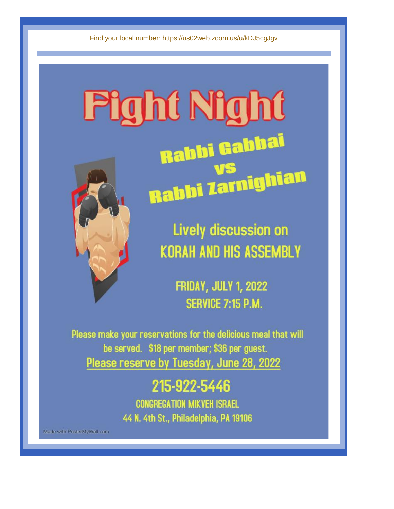# ight Night Rabbi Gabbai ws<br>Rabbi Zarnighian



**FRIDAY, JULY 1, 2022 SERVICE 7:15 P.M.** 

Please make your reservations for the delicious meal that will be served. \$18 per member; \$36 per guest. Please reserve by Tuesday, June 28, 2022

# 215-922-5446

**CONGREGATION MIKVEH ISRAEL** 44 N. 4th St., Philadelphia, PA 19106

Made with PosterMyWall.com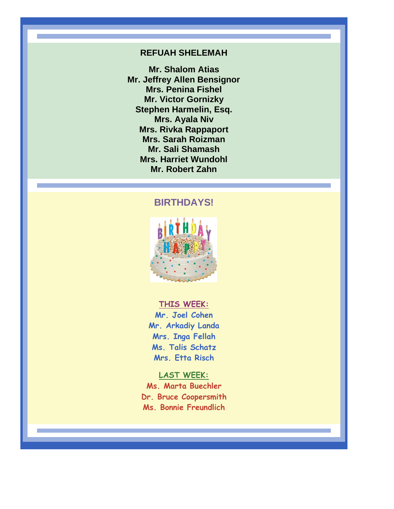#### **REFUAH SHELEMAH**

**Mr. Shalom Atias Mr. Jeffrey Allen Bensignor Mrs. Penina Fishel Mr. Victor Gornizky Stephen Harmelin, Esq. Mrs. Ayala Niv Mrs. Rivka Rappaport Mrs. Sarah Roizman Mr. Sali Shamash Mrs. Harriet Wundohl Mr. Robert Zahn**

#### **BIRTHDAYS!**



#### **THIS WEEK:**

**Mr. Joel Cohen Mr. Arkadiy Landa Mrs. Inga Fellah Ms. Talis Schatz Mrs. Etta Risch**

#### **LAST WEEK:**

**Ms. Marta Buechler Dr. Bruce Coopersmith Ms. Bonnie Freundlich**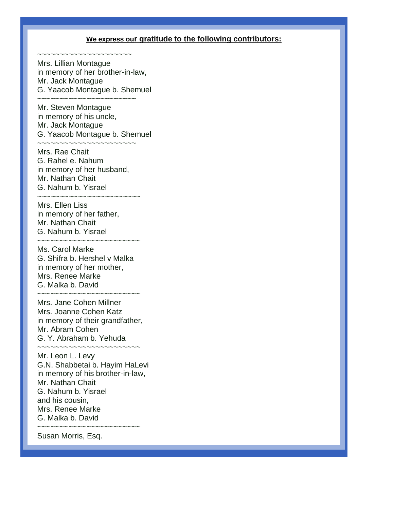#### **We express our gratitude to the following contributors:**

~~~~~~~~~~~~~~~~~~~~~ Mrs. Lillian Montague in memory of her brother-in-law, Mr. Jack Montague G. Yaacob Montague b. Shemuel ~~~~~~~~~~~~~~~~~~~~~~ Mr. Steven Montague in memory of his uncle, Mr. Jack Montague G. Yaacob Montague b. Shemuel ~~~~~~~~~~~~~~~~~~~~~~~ Mrs. Rae Chait G. Rahel e. Nahum in memory of her husband, Mr. Nathan Chait G. Nahum b. Yisrael ~~~~~~~~~~~~~~~~~~~~~~~ Mrs. Ellen Liss in memory of her father, Mr. Nathan Chait G. Nahum b. Yisrael ~~~~~~~~~~~~~~~~~~~~~~~ Ms. Carol Marke G. Shifra b. Hershel v Malka in memory of her mother, Mrs. Renee Marke G. Malka b. David ~~~~~~~~~~~~~~~~~ Mrs. Jane Cohen Millner Mrs. Joanne Cohen Katz in memory of their grandfather, Mr. Abram Cohen G. Y. Abraham b. Yehuda ~~~~~~~~~~~~~~~~~~~~~~~ Mr. Leon L. Levy G.N. Shabbetai b. Hayim HaLevi in memory of his brother-in-law, Mr. Nathan Chait G. Nahum b. Yisrael and his cousin, Mrs. Renee Marke G. Malka b. David ~~~~~~~~~~~~~~~~~~~~~~~ Susan Morris, Esq.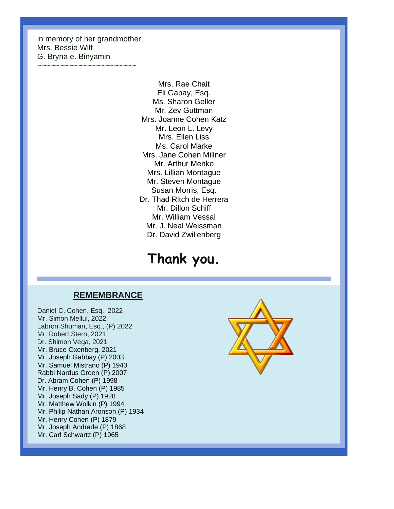in memory of her grandmother, Mrs. Bessie Wilf G. Bryna e. Binyamin

~~~~~~~~~~~~~~~~~~~~~~~~~~

Mrs. Rae Chait Eli Gabay, Esq. Ms. Sharon Geller Mr. Zev Guttman Mrs. Joanne Cohen Katz Mr. Leon L. Levy Mrs. Ellen Liss Ms. Carol Marke Mrs. Jane Cohen Millner Mr. Arthur Menko Mrs. Lillian Montague Mr. Steven Montague Susan Morris, Esq. Dr. Thad Ritch de Herrera Mr. Dillon Schiff Mr. William Vessal Mr. J. Neal Weissman Dr. David Zwillenberg

# **Thank you.**

#### **REMEMBRANCE**

Daniel C. Cohen, Esq., 2022 Mr. Simon Mellul, 2022 Labron Shuman, Esq., (P) 2022 Mr. Robert Stern, 2021 Dr. Shimon Vega, 2021 Mr. Bruce Oxenberg, 2021 Mr. Joseph Gabbay (P) 2003 Mr. Samuel Mistrano (P) 1940 Rabbi Nardus Groen (P) 2007 Dr. Abram Cohen (P) 1998 Mr. Henry B. Cohen (P) 1985 Mr. Joseph Sady (P) 1928 Mr. Matthew Wolkin (P) 1994 Mr. Philip Nathan Aronson (P) 1934 Mr. Henry Cohen (P) 1879 Mr. Joseph Andrade (P) 1868 Mr. Carl Schwartz (P) 1965

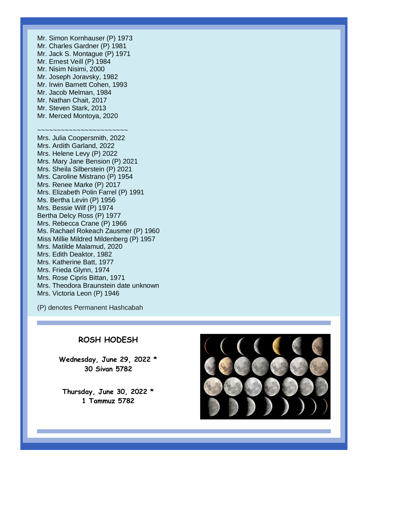Mr. Simon Kornhauser (P) 1973 Mr. Charles Gardner (P) 1981 Mr. Jack S. Montague (P) 1971 Mr. Ernest Veill (P) 1984 Mr. Nisim Nisimi, 2000 Mr. Joseph Joravsky, 1982 Mr. Irwin Barnett Cohen, 1993 Mr. Jacob Melman, 1984 Mr. Nathan Chait, 2017 Mr. Steven Stark, 2013 Mr. Merced Montoya, 2020

#### ~~~~~~~~~~~~~~~~~~~~~~

Mrs. Julia Coopersmith, 2022 Mrs. Ardith Garland, 2022 Mrs. Helene Levy (P) 2022 Mrs. Mary Jane Bension (P) 2021 Mrs. Sheila Silberstein (P) 2021 Mrs. Caroline Mistrano (P) 1954 Mrs. Renee Marke (P) 2017 Mrs. Elizabeth Polin Farrel (P) 1991 Ms. Bertha Levin (P) 1956 Mrs. Bessie Wilf (P) 1974 Bertha Delcy Ross (P) 1977 Mrs. Rebecca Crane (P) 1966 Ms. Rachael Rokeach Zausmer (P) 1960 Miss Millie Mildred Mildenberg (P) 1957 Mrs. Matilde Malamud, 2020 Mrs. Edith Deaktor, 1982 Mrs. Katherine Batt, 1977 Mrs. Frieda Glynn, 1974 Mrs. Rose Cipris Bittan, 1971 Mrs. Theodora Braunstein date unknown Mrs. Victoria Leon (P) 1946

(P) denotes Permanent Hashcabah

#### **ROSH HODESH**

**Wednesday, June 29, 2022 \* 30 Sivan 5782**

**Thursday, June 30, 2022 \* 1 Tammuz 5782**